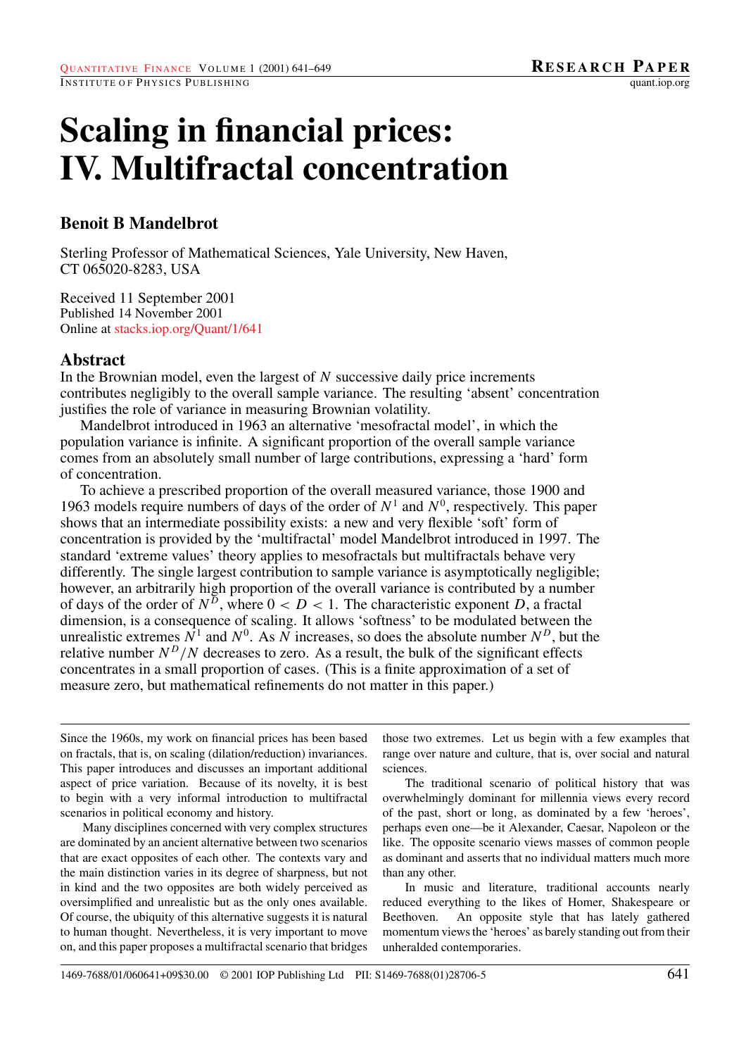# **Scaling in financial prices: IV. Multifractal concentration**

# **Benoit B Mandelbrot**

Sterling Professor of Mathematical Sciences, Yale University, New Haven, CT 065020-8283, USA

Received 11 September 2001 Published 14 November 2001 Online at [stacks.iop.org/Quant/1/641](http://stacks.iop.org/Quant/1/641)

# **Abstract**

In the Brownian model, even the largest of  $N$  successive daily price increments contributes negligibly to the overall sample variance. The resulting 'absent' concentration justifies the role of variance in measuring Brownian volatility.

Mandelbrot introduced in 1963 an alternative 'mesofractal model', in which the population variance is infinite. A significant proportion of the overall sample variance comes from an absolutely small number of large contributions, expressing a 'hard' form of concentration.

To achieve a prescribed proportion of the overall measured variance, those 1900 and 1963 models require numbers of days of the order of  $N^1$  and  $N^0$ , respectively. This paper shows that an intermediate possibility exists: a new and very flexible 'soft' form of concentration is provided by the 'multifractal' model Mandelbrot introduced in 1997. The standard 'extreme values' theory applies to mesofractals but multifractals behave very differently. The single largest contribution to sample variance is asymptotically negligible; however, an arbitrarily high proportion of the overall variance is contributed by a number of days of the order of  $N^{\overline{D}}$ , where  $0 < D < 1$ . The characteristic exponent D, a fractal dimension, is a consequence of scaling. It allows 'softness' to be modulated between the unrealistic extremes  $N^1$  and  $N^0$ . As N increases, so does the absolute number  $N^D$ , but the relative number  $N^D/N$  decreases to zero. As a result, the bulk of the significant effects concentrates in a small proportion of cases. (This is a finite approximation of a set of measure zero, but mathematical refinements do not matter in this paper.)

Since the 1960s, my work on financial prices has been based on fractals, that is, on scaling (dilation/reduction) invariances. This paper introduces and discusses an important additional aspect of price variation. Because of its novelty, it is best to begin with a very informal introduction to multifractal scenarios in political economy and history.

Many disciplines concerned with very complex structures are dominated by an ancient alternative between two scenarios that are exact opposites of each other. The contexts vary and the main distinction varies in its degree of sharpness, but not in kind and the two opposites are both widely perceived as oversimplified and unrealistic but as the only ones available. Of course, the ubiquity of this alternative suggests it is natural to human thought. Nevertheless, it is very important to move on, and this paper proposes a multifractal scenario that bridges

those two extremes. Let us begin with a few examples that range over nature and culture, that is, over social and natural sciences.

The traditional scenario of political history that was overwhelmingly dominant for millennia views every record of the past, short or long, as dominated by a few 'heroes', perhaps even one—be it Alexander, Caesar, Napoleon or the like. The opposite scenario views masses of common people as dominant and asserts that no individual matters much more than any other.

In music and literature, traditional accounts nearly reduced everything to the likes of Homer, Shakespeare or Beethoven. An opposite style that has lately gathered momentum views the 'heroes' as barely standing out from their unheralded contemporaries.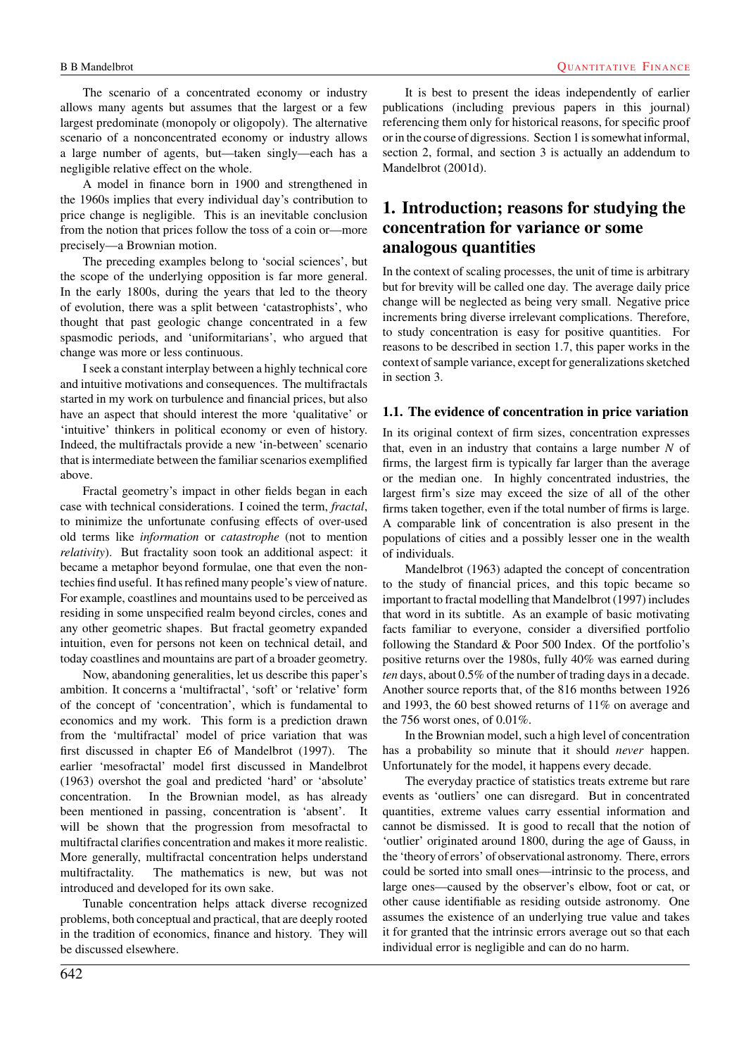The scenario of a concentrated economy or industry allows many agents but assumes that the largest or a few largest predominate (monopoly or oligopoly). The alternative scenario of a nonconcentrated economy or industry allows a large number of agents, but—taken singly—each has a negligible relative effect on the whole.

A model in finance born in 1900 and strengthened in the 1960s implies that every individual day's contribution to price change is negligible. This is an inevitable conclusion from the notion that prices follow the toss of a coin or—more precisely—a Brownian motion.

The preceding examples belong to 'social sciences', but the scope of the underlying opposition is far more general. In the early 1800s, during the years that led to the theory of evolution, there was a split between 'catastrophists', who thought that past geologic change concentrated in a few spasmodic periods, and 'uniformitarians', who argued that change was more or less continuous.

I seek a constant interplay between a highly technical core and intuitive motivations and consequences. The multifractals started in my work on turbulence and financial prices, but also have an aspect that should interest the more 'qualitative' or 'intuitive' thinkers in political economy or even of history. Indeed, the multifractals provide a new 'in-between' scenario that is intermediate between the familiar scenarios exemplified above.

Fractal geometry's impact in other fields began in each case with technical considerations. I coined the term, *fractal*, to minimize the unfortunate confusing effects of over-used old terms like *information* or *catastrophe* (not to mention *relativity*). But fractality soon took an additional aspect: it became a metaphor beyond formulae, one that even the nontechies find useful. It has refined many people's view of nature. For example, coastlines and mountains used to be perceived as residing in some unspecified realm beyond circles, cones and any other geometric shapes. But fractal geometry expanded intuition, even for persons not keen on technical detail, and today coastlines and mountains are part of a broader geometry.

Now, abandoning generalities, let us describe this paper's ambition. It concerns a 'multifractal', 'soft' or 'relative' form of the concept of 'concentration', which is fundamental to economics and my work. This form is a prediction drawn from the 'multifractal' model of price variation that was first discussed in chapter E6 of Mandelbrot (1997). The earlier 'mesofractal' model first discussed in Mandelbrot (1963) overshot the goal and predicted 'hard' or 'absolute' concentration. In the Brownian model, as has already been mentioned in passing, concentration is 'absent'. It will be shown that the progression from mesofractal to multifractal clarifies concentration and makes it more realistic. More generally, multifractal concentration helps understand multifractality. The mathematics is new, but was not introduced and developed for its own sake.

Tunable concentration helps attack diverse recognized problems, both conceptual and practical, that are deeply rooted in the tradition of economics, finance and history. They will be discussed elsewhere.

It is best to present the ideas independently of earlier publications (including previous papers in this journal) referencing them only for historical reasons, for specific proof or in the course of digressions. Section 1 is somewhat informal, section 2, formal, and section 3 is actually an addendum to Mandelbrot (2001d).

# **1. Introduction; reasons for studying the concentration for variance or some analogous quantities**

In the context of scaling processes, the unit of time is arbitrary but for brevity will be called one day. The average daily price change will be neglected as being very small. Negative price increments bring diverse irrelevant complications. Therefore, to study concentration is easy for positive quantities. For reasons to be described in section 1.7, this paper works in the context of sample variance, except for generalizations sketched in section 3.

#### **1.1. The evidence of concentration in price variation**

In its original context of firm sizes, concentration expresses that, even in an industry that contains a large number  $N$  of firms, the largest firm is typically far larger than the average or the median one. In highly concentrated industries, the largest firm's size may exceed the size of all of the other firms taken together, even if the total number of firms is large. A comparable link of concentration is also present in the populations of cities and a possibly lesser one in the wealth of individuals.

Mandelbrot (1963) adapted the concept of concentration to the study of financial prices, and this topic became so important to fractal modelling that Mandelbrot (1997) includes that word in its subtitle. As an example of basic motivating facts familiar to everyone, consider a diversified portfolio following the Standard & Poor 500 Index. Of the portfolio's positive returns over the 1980s, fully 40% was earned during *ten* days, about 0.5% of the number of trading days in a decade. Another source reports that, of the 816 months between 1926 and 1993, the 60 best showed returns of 11% on average and the 756 worst ones, of 0.01%.

In the Brownian model, such a high level of concentration has a probability so minute that it should *never* happen. Unfortunately for the model, it happens every decade.

The everyday practice of statistics treats extreme but rare events as 'outliers' one can disregard. But in concentrated quantities, extreme values carry essential information and cannot be dismissed. It is good to recall that the notion of 'outlier' originated around 1800, during the age of Gauss, in the 'theory of errors' of observational astronomy. There, errors could be sorted into small ones—intrinsic to the process, and large ones—caused by the observer's elbow, foot or cat, or other cause identifiable as residing outside astronomy. One assumes the existence of an underlying true value and takes it for granted that the intrinsic errors average out so that each individual error is negligible and can do no harm.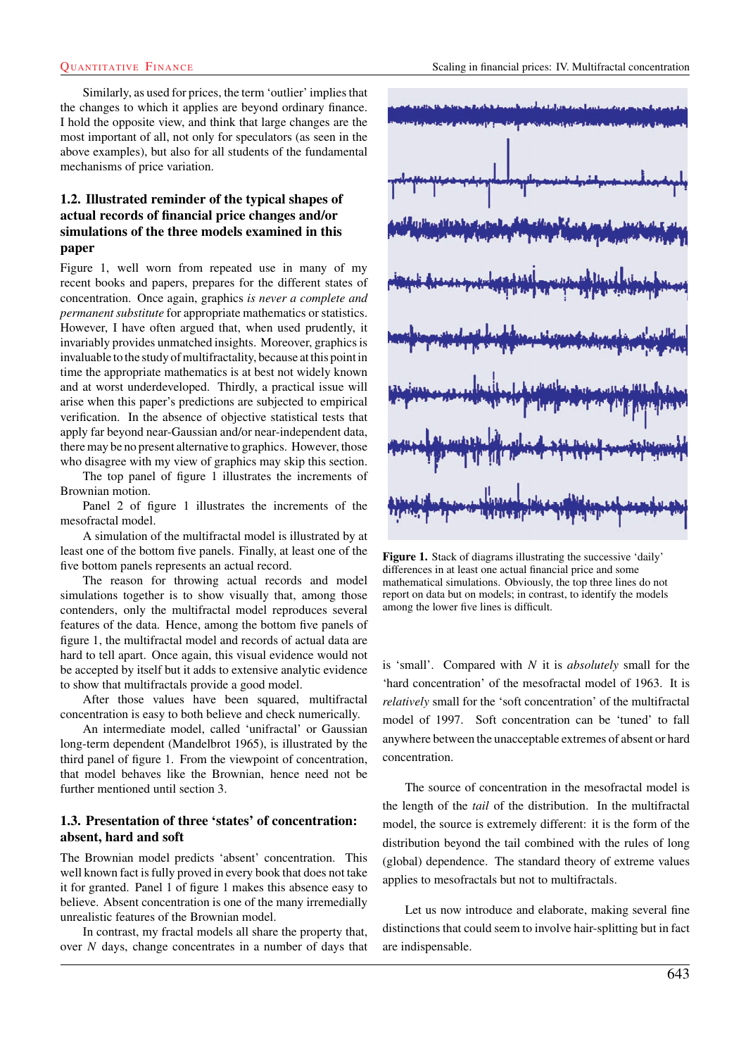Similarly, as used for prices, the term 'outlier' implies that the changes to which it applies are beyond ordinary finance. I hold the opposite view, and think that large changes are the most important of all, not only for speculators (as seen in the above examples), but also for all students of the fundamental mechanisms of price variation.

# **1.2. Illustrated reminder of the typical shapes of actual records of financial price changes and/or simulations of the three models examined in this paper**

Figure 1, well worn from repeated use in many of my recent books and papers, prepares for the different states of concentration. Once again, graphics *is never a complete and permanent substitute* for appropriate mathematics or statistics. However, I have often argued that, when used prudently, it invariably provides unmatched insights. Moreover, graphics is invaluable to the study of multifractality, because at this point in time the appropriate mathematics is at best not widely known and at worst underdeveloped. Thirdly, a practical issue will arise when this paper's predictions are subjected to empirical verification. In the absence of objective statistical tests that apply far beyond near-Gaussian and/or near-independent data, there may be no present alternative to graphics. However, those who disagree with my view of graphics may skip this section.

The top panel of figure 1 illustrates the increments of Brownian motion.

Panel 2 of figure 1 illustrates the increments of the mesofractal model.

A simulation of the multifractal model is illustrated by at least one of the bottom five panels. Finally, at least one of the five bottom panels represents an actual record.

The reason for throwing actual records and model simulations together is to show visually that, among those contenders, only the multifractal model reproduces several features of the data. Hence, among the bottom five panels of figure 1, the multifractal model and records of actual data are hard to tell apart. Once again, this visual evidence would not be accepted by itself but it adds to extensive analytic evidence to show that multifractals provide a good model.

After those values have been squared, multifractal concentration is easy to both believe and check numerically.

An intermediate model, called 'unifractal' or Gaussian long-term dependent (Mandelbrot 1965), is illustrated by the third panel of figure 1. From the viewpoint of concentration, that model behaves like the Brownian, hence need not be further mentioned until section 3.

# **1.3. Presentation of three 'states' of concentration: absent, hard and soft**

The Brownian model predicts 'absent' concentration. This well known fact is fully proved in every book that does not take it for granted. Panel 1 of figure 1 makes this absence easy to believe. Absent concentration is one of the many irremedially unrealistic features of the Brownian model.

In contrast, my fractal models all share the property that, over N days, change concentrates in a number of days that



**Figure 1.** Stack of diagrams illustrating the successive 'daily' differences in at least one actual financial price and some mathematical simulations. Obviously, the top three lines do not report on data but on models; in contrast, to identify the models among the lower five lines is difficult.

is 'small'. Compared with N it is *absolutely* small for the 'hard concentration' of the mesofractal model of 1963. It is *relatively* small for the 'soft concentration' of the multifractal model of 1997. Soft concentration can be 'tuned' to fall anywhere between the unacceptable extremes of absent or hard concentration.

The source of concentration in the mesofractal model is the length of the *tail* of the distribution. In the multifractal model, the source is extremely different: it is the form of the distribution beyond the tail combined with the rules of long (global) dependence. The standard theory of extreme values applies to mesofractals but not to multifractals.

Let us now introduce and elaborate, making several fine distinctions that could seem to involve hair-splitting but in fact are indispensable.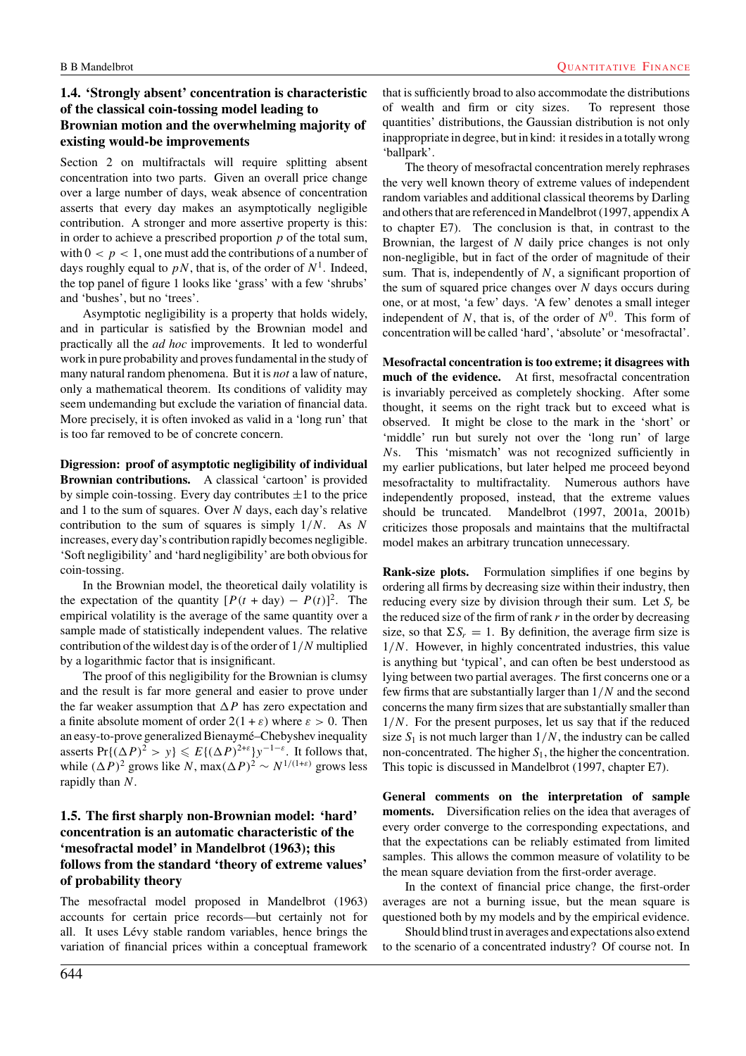# **1.4. 'Strongly absent' concentration is characteristic of the classical coin-tossing model leading to Brownian motion and the overwhelming majority of existing would-be improvements**

Section 2 on multifractals will require splitting absent concentration into two parts. Given an overall price change over a large number of days, weak absence of concentration asserts that every day makes an asymptotically negligible contribution. A stronger and more assertive property is this: in order to achieve a prescribed proportion  $p$  of the total sum, with  $0 < p < 1$ , one must add the contributions of a number of days roughly equal to  $pN$ , that is, of the order of  $N<sup>1</sup>$ . Indeed, the top panel of figure 1 looks like 'grass' with a few 'shrubs' and 'bushes', but no 'trees'.

Asymptotic negligibility is a property that holds widely, and in particular is satisfied by the Brownian model and practically all the *ad hoc* improvements. It led to wonderful work in pure probability and proves fundamental in the study of many natural random phenomena. But it is *not* a law of nature, only a mathematical theorem. Its conditions of validity may seem undemanding but exclude the variation of financial data. More precisely, it is often invoked as valid in a 'long run' that is too far removed to be of concrete concern.

**Digression: proof of asymptotic negligibility of individual Brownian contributions.** A classical 'cartoon' is provided by simple coin-tossing. Every day contributes  $\pm 1$  to the price and 1 to the sum of squares. Over  $N$  days, each day's relative contribution to the sum of squares is simply  $1/N$ . As N increases, every day's contribution rapidly becomes negligible. 'Soft negligibility' and 'hard negligibility' are both obvious for coin-tossing.

In the Brownian model, the theoretical daily volatility is the expectation of the quantity  $[P(t + day) - P(t)]^2$ . The empirical volatility is the average of the same quantity over a sample made of statistically independent values. The relative contribution of the wildest day is of the order of  $1/N$  multiplied by a logarithmic factor that is insignificant.

The proof of this negligibility for the Brownian is clumsy and the result is far more general and easier to prove under the far weaker assumption that  $\Delta P$  has zero expectation and a finite absolute moment of order  $2(1 + \varepsilon)$  where  $\varepsilon > 0$ . Then an easy-to-prove generalized Bienaymé-Chebyshev inequality asserts  $Pr{({(\Delta P)}^2 > y} \leq E{({(\Delta P)}^{2+\varepsilon})y^{-1-\varepsilon}}$ . It follows that, while  $(\Delta P)^2$  grows like N, max $(\Delta P)^2 \sim N^{1/(1+\varepsilon)}$  grows less rapidly than N.

# **1.5. The first sharply non-Brownian model: 'hard' concentration is an automatic characteristic of the 'mesofractal model' in Mandelbrot (1963); this follows from the standard 'theory of extreme values' of probability theory**

The mesofractal model proposed in Mandelbrot (1963) accounts for certain price records—but certainly not for all. It uses Lévy stable random variables, hence brings the variation of financial prices within a conceptual framework that is sufficiently broad to also accommodate the distributions of wealth and firm or city sizes. To represent those quantities' distributions, the Gaussian distribution is not only inappropriate in degree, but in kind: it resides in a totally wrong 'ballpark'.

The theory of mesofractal concentration merely rephrases the very well known theory of extreme values of independent random variables and additional classical theorems by Darling and others that are referenced in Mandelbrot (1997, appendix A to chapter E7). The conclusion is that, in contrast to the Brownian, the largest of N daily price changes is not only non-negligible, but in fact of the order of magnitude of their sum. That is, independently of  $N$ , a significant proportion of the sum of squared price changes over  $N$  days occurs during one, or at most, 'a few' days. 'A few' denotes a small integer independent of N, that is, of the order of  $N^0$ . This form of concentration will be called 'hard', 'absolute' or 'mesofractal'.

**Mesofractal concentration is too extreme; it disagrees with much of the evidence.** At first, mesofractal concentration is invariably perceived as completely shocking. After some thought, it seems on the right track but to exceed what is observed. It might be close to the mark in the 'short' or 'middle' run but surely not over the 'long run' of large Ns. This 'mismatch' was not recognized sufficiently in my earlier publications, but later helped me proceed beyond mesofractality to multifractality. Numerous authors have independently proposed, instead, that the extreme values should be truncated. Mandelbrot (1997, 2001a, 2001b) criticizes those proposals and maintains that the multifractal model makes an arbitrary truncation unnecessary.

**Rank-size plots.** Formulation simplifies if one begins by ordering all firms by decreasing size within their industry, then reducing every size by division through their sum. Let  $S_r$  be the reduced size of the firm of rank  $r$  in the order by decreasing size, so that  $\Sigma S_r = 1$ . By definition, the average firm size is  $1/N$ . However, in highly concentrated industries, this value is anything but 'typical', and can often be best understood as lying between two partial averages. The first concerns one or a few firms that are substantially larger than  $1/N$  and the second concerns the many firm sizes that are substantially smaller than  $1/N$ . For the present purposes, let us say that if the reduced size  $S_1$  is not much larger than  $1/N$ , the industry can be called non-concentrated. The higher  $S_1$ , the higher the concentration. This topic is discussed in Mandelbrot (1997, chapter E7).

**General comments on the interpretation of sample moments.** Diversification relies on the idea that averages of every order converge to the corresponding expectations, and that the expectations can be reliably estimated from limited samples. This allows the common measure of volatility to be the mean square deviation from the first-order average.

In the context of financial price change, the first-order averages are not a burning issue, but the mean square is questioned both by my models and by the empirical evidence.

Should blind trust in averages and expectations also extend to the scenario of a concentrated industry? Of course not. In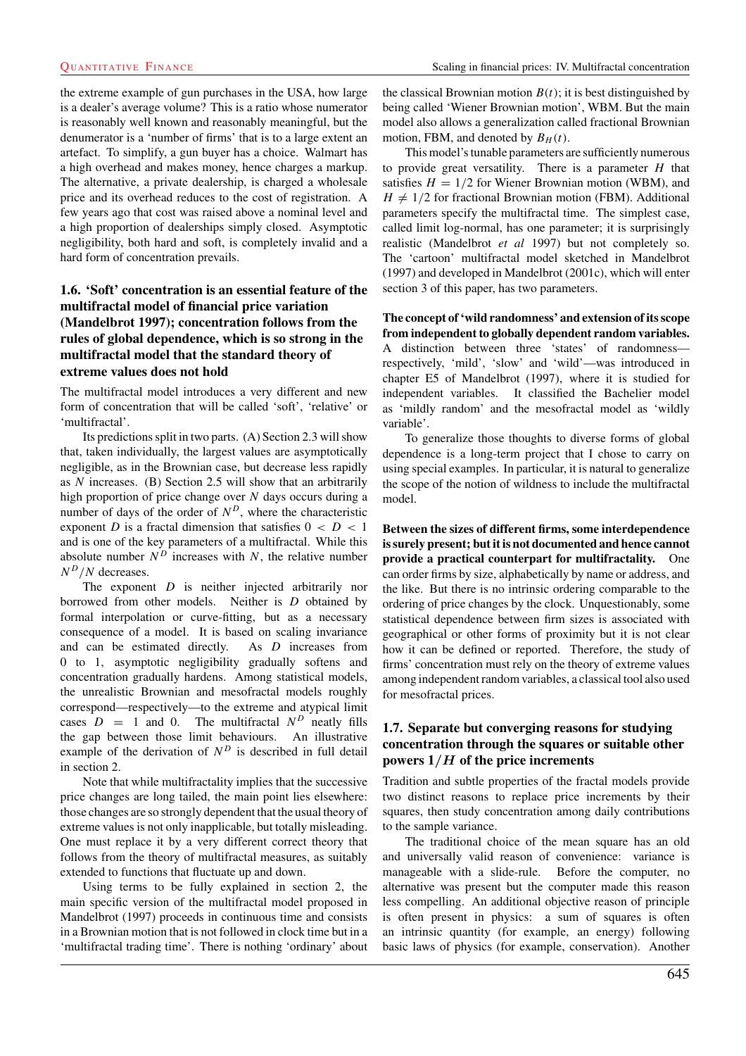the extreme example of gun purchases in the USA, how large is a dealer's average volume? This is a ratio whose numerator is reasonably well known and reasonably meaningful, but the denumerator is a 'number of firms' that is to a large extent an artefact. To simplify, a gun buyer has a choice. Walmart has a high overhead and makes money, hence charges a markup. The alternative, a private dealership, is charged a wholesale price and its overhead reduces to the cost of registration. A few years ago that cost was raised above a nominal level and a high proportion of dealerships simply closed. Asymptotic negligibility, both hard and soft, is completely invalid and a hard form of concentration prevails.

# **1.6. 'Soft' concentration is an essential feature of the multifractal model of financial price variation (Mandelbrot 1997); concentration follows from the rules of global dependence, which is so strong in the multifractal model that the standard theory of extreme values does not hold**

The multifractal model introduces a very different and new form of concentration that will be called 'soft', 'relative' or 'multifractal'.

Its predictions split in two parts. (A) Section 2.3 will show that, taken individually, the largest values are asymptotically negligible, as in the Brownian case, but decrease less rapidly as N increases. (B) Section 2.5 will show that an arbitrarily high proportion of price change over  $N$  days occurs during a number of days of the order of  $N<sup>D</sup>$ , where the characteristic exponent D is a fractal dimension that satisfies  $0 < D < 1$ and is one of the key parameters of a multifractal. While this absolute number  $N^D$  increases with N, the relative number  $N^D/N$  decreases.

The exponent D is neither injected arbitrarily nor borrowed from other models. Neither is D obtained by formal interpolation or curve-fitting, but as a necessary consequence of a model. It is based on scaling invariance and can be estimated directly. As D increases from 0 to 1, asymptotic negligibility gradually softens and concentration gradually hardens. Among statistical models, the unrealistic Brownian and mesofractal models roughly correspond—respectively—to the extreme and atypical limit cases  $D = 1$  and 0. The multifractal  $N<sup>D</sup>$  neatly fills the gap between those limit behaviours. An illustrative example of the derivation of  $N<sup>D</sup>$  is described in full detail in section 2.

Note that while multifractality implies that the successive price changes are long tailed, the main point lies elsewhere: those changes are so strongly dependent that the usual theory of extreme values is not only inapplicable, but totally misleading. One must replace it by a very different correct theory that follows from the theory of multifractal measures, as suitably extended to functions that fluctuate up and down.

Using terms to be fully explained in section 2, the main specific version of the multifractal model proposed in Mandelbrot (1997) proceeds in continuous time and consists in a Brownian motion that is not followed in clock time but in a 'multifractal trading time'. There is nothing 'ordinary' about the classical Brownian motion  $B(t)$ ; it is best distinguished by being called 'Wiener Brownian motion', WBM. But the main model also allows a generalization called fractional Brownian motion, FBM, and denoted by  $B_H(t)$ .

This model's tunable parameters are sufficiently numerous to provide great versatility. There is a parameter  $H$  that satisfies  $H = 1/2$  for Wiener Brownian motion (WBM), and  $H \neq 1/2$  for fractional Brownian motion (FBM). Additional parameters specify the multifractal time. The simplest case, called limit log-normal, has one parameter; it is surprisingly realistic (Mandelbrot *et al* 1997) but not completely so. The 'cartoon' multifractal model sketched in Mandelbrot (1997) and developed in Mandelbrot (2001c), which will enter section 3 of this paper, has two parameters.

**The concept of 'wild randomness' and extension of its scope from independent to globally dependent random variables.** A distinction between three 'states' of randomness respectively, 'mild', 'slow' and 'wild'—was introduced in chapter E5 of Mandelbrot (1997), where it is studied for independent variables. It classified the Bachelier model as 'mildly random' and the mesofractal model as 'wildly variable'.

To generalize those thoughts to diverse forms of global dependence is a long-term project that I chose to carry on using special examples. In particular, it is natural to generalize the scope of the notion of wildness to include the multifractal model.

**Between the sizes of different firms, some interdependence is surely present; but it is not documented and hence cannot provide a practical counterpart for multifractality.** One can order firms by size, alphabetically by name or address, and the like. But there is no intrinsic ordering comparable to the ordering of price changes by the clock. Unquestionably, some statistical dependence between firm sizes is associated with geographical or other forms of proximity but it is not clear how it can be defined or reported. Therefore, the study of firms' concentration must rely on the theory of extreme values among independent random variables, a classical tool also used for mesofractal prices.

# **1.7. Separate but converging reasons for studying concentration through the squares or suitable other powers 1***/H* **of the price increments**

Tradition and subtle properties of the fractal models provide two distinct reasons to replace price increments by their squares, then study concentration among daily contributions to the sample variance.

The traditional choice of the mean square has an old and universally valid reason of convenience: variance is manageable with a slide-rule. Before the computer, no alternative was present but the computer made this reason less compelling. An additional objective reason of principle is often present in physics: a sum of squares is often an intrinsic quantity (for example, an energy) following basic laws of physics (for example, conservation). Another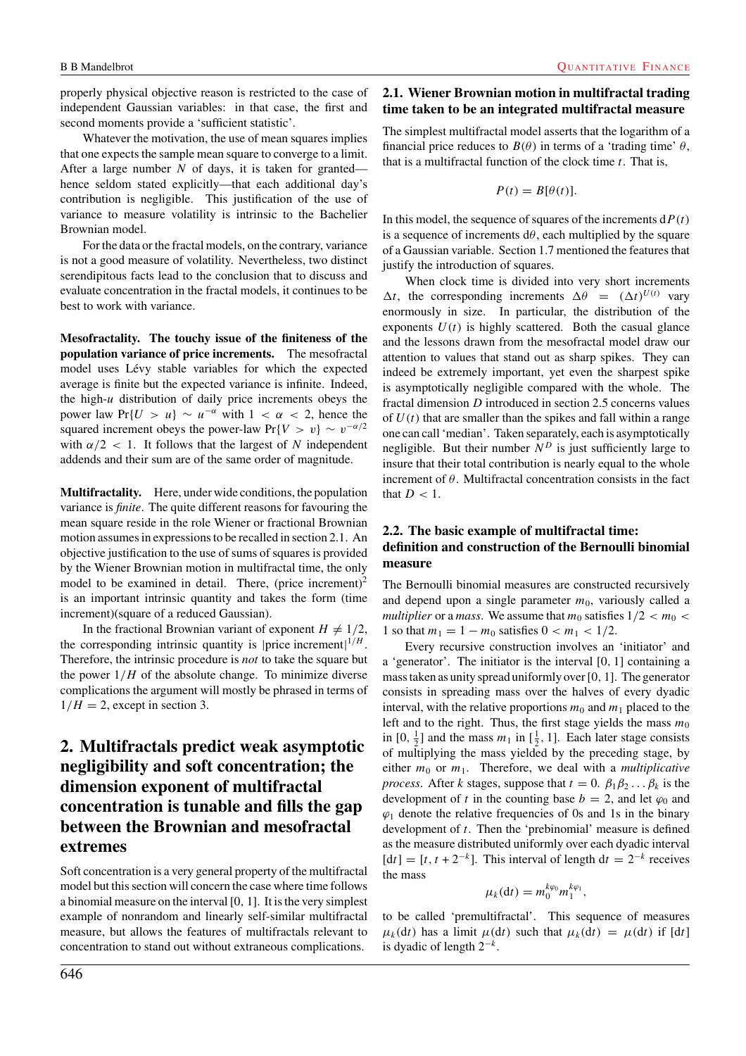properly physical objective reason is restricted to the case of independent Gaussian variables: in that case, the first and second moments provide a 'sufficient statistic'.

Whatever the motivation, the use of mean squares implies that one expects the sample mean square to converge to a limit. After a large number  $N$  of days, it is taken for granted hence seldom stated explicitly—that each additional day's contribution is negligible. This justification of the use of variance to measure volatility is intrinsic to the Bachelier Brownian model.

For the data or the fractal models, on the contrary, variance is not a good measure of volatility. Nevertheless, two distinct serendipitous facts lead to the conclusion that to discuss and evaluate concentration in the fractal models, it continues to be best to work with variance.

**Mesofractality. The touchy issue of the finiteness of the population variance of price increments.** The mesofractal model uses Lévy stable variables for which the expected average is finite but the expected variance is infinite. Indeed, the high- $u$  distribution of daily price increments obeys the power law Pr{ $U > u$ } ∼  $u^{-\alpha}$  with  $1 < \alpha < 2$ , hence the squared increment obeys the power-law Pr{ $V > v$ } ∼  $v^{-\alpha/2}$ with  $\alpha/2$  < 1. It follows that the largest of N independent addends and their sum are of the same order of magnitude.

**Multifractality.** Here, under wide conditions, the population variance is *finite*. The quite different reasons for favouring the mean square reside in the role Wiener or fractional Brownian motion assumes in expressions to be recalled in section 2.1. An objective justification to the use of sums of squares is provided by the Wiener Brownian motion in multifractal time, the only model to be examined in detail. There, (price increment)<sup>2</sup> is an important intrinsic quantity and takes the form (time increment)(square of a reduced Gaussian).

In the fractional Brownian variant of exponent  $H \neq 1/2$ , the corresponding intrinsic quantity is  $|price\> increment|^{1/H}$ . Therefore, the intrinsic procedure is *not* to take the square but the power  $1/H$  of the absolute change. To minimize diverse complications the argument will mostly be phrased in terms of  $1/H = 2$ , except in section 3.

# **2. Multifractals predict weak asymptotic negligibility and soft concentration; the dimension exponent of multifractal concentration is tunable and fills the gap between the Brownian and mesofractal extremes**

Soft concentration is a very general property of the multifractal model but this section will concern the case where time follows a binomial measure on the interval [0, 1]. It is the very simplest example of nonrandom and linearly self-similar multifractal measure, but allows the features of multifractals relevant to concentration to stand out without extraneous complications.

# **2.1. Wiener Brownian motion in multifractal trading time taken to be an integrated multifractal measure**

The simplest multifractal model asserts that the logarithm of a financial price reduces to  $B(\theta)$  in terms of a 'trading time'  $\theta$ , that is a multifractal function of the clock time  $t$ . That is,

$$
P(t) = B[\theta(t)].
$$

In this model, the sequence of squares of the increments  $dP(t)$ is a sequence of increments  $d\theta$ , each multiplied by the square of a Gaussian variable. Section 1.7 mentioned the features that justify the introduction of squares.

When clock time is divided into very short increments  $\Delta t$ , the corresponding increments  $\Delta \theta = (\Delta t)^{U(t)}$  vary enormously in size. In particular, the distribution of the exponents  $U(t)$  is highly scattered. Both the casual glance and the lessons drawn from the mesofractal model draw our attention to values that stand out as sharp spikes. They can indeed be extremely important, yet even the sharpest spike is asymptotically negligible compared with the whole. The fractal dimension D introduced in section 2.5 concerns values of  $U(t)$  that are smaller than the spikes and fall within a range one can call 'median'. Taken separately, each is asymptotically negligible. But their number  $N<sup>D</sup>$  is just sufficiently large to insure that their total contribution is nearly equal to the whole increment of  $\theta$ . Multifractal concentration consists in the fact that  $D < 1$ .

# **2.2. The basic example of multifractal time: definition and construction of the Bernoulli binomial measure**

The Bernoulli binomial measures are constructed recursively and depend upon a single parameter  $m_0$ , variously called a *multiplier* or a *mass*. We assume that  $m_0$  satisfies  $1/2 < m_0 <$ 1 so that  $m_1 = 1 - m_0$  satisfies  $0 < m_1 < 1/2$ .

Every recursive construction involves an 'initiator' and a 'generator'. The initiator is the interval [0, 1] containing a mass taken as unity spread uniformly over [0, 1]. The generator consists in spreading mass over the halves of every dyadic interval, with the relative proportions  $m_0$  and  $m_1$  placed to the left and to the right. Thus, the first stage yields the mass  $m_0$ in  $[0, \frac{1}{2}]$  and the mass  $m_1$  in  $[\frac{1}{2}, 1]$ . Each later stage consists of multiplying the mass yielded by the preceding stage, by either  $m_0$  or  $m_1$ . Therefore, we deal with a *multiplicative process*. After k stages, suppose that  $t = 0$ .  $\beta_1 \beta_2 \dots \beta_k$  is the development of t in the counting base  $b = 2$ , and let  $\varphi_0$  and  $\varphi_1$  denote the relative frequencies of 0s and 1s in the binary development of t. Then the 'prebinomial' measure is defined as the measure distributed uniformly over each dyadic interval  $[dt] = [t, t + 2^{-k}]$ . This interval of length  $dt = 2^{-k}$  receives the mass

$$
\mu_k(\mathrm{d}t)=m_0^{k\varphi_0}m_1^{k\varphi_1},
$$

to be called 'premultifractal'. This sequence of measures  $\mu_k(dt)$  has a limit  $\mu(dt)$  such that  $\mu_k(dt) = \mu(dt)$  if  $[dt]$ is dyadic of length  $2^{-k}$ .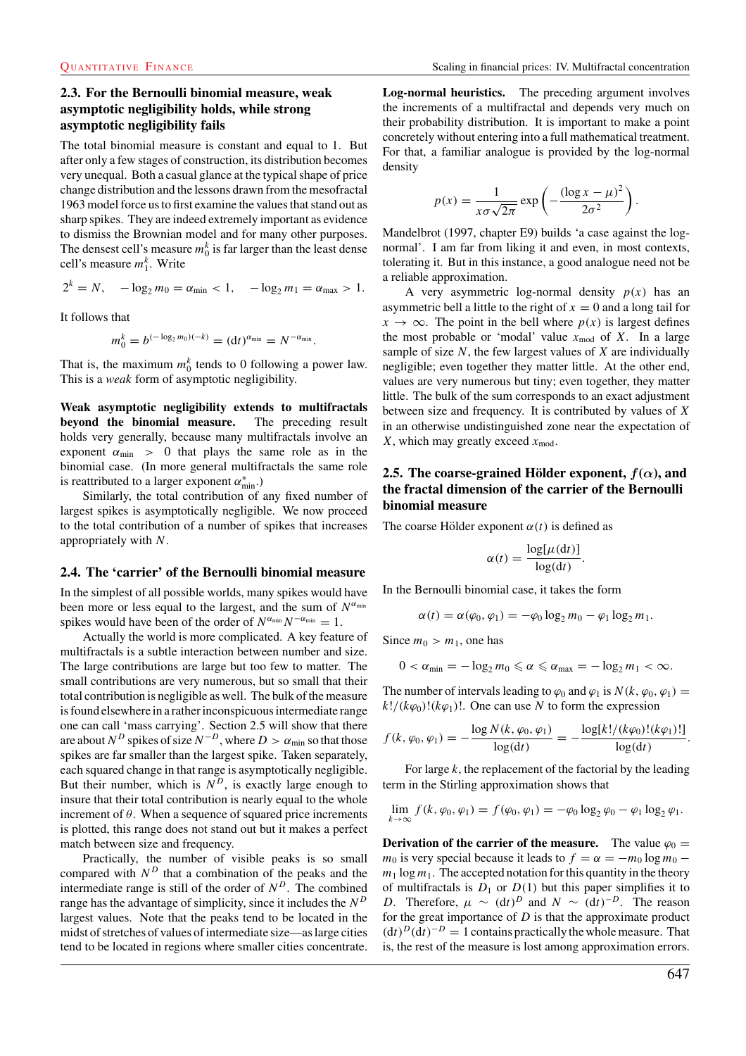# **2.3. For the Bernoulli binomial measure, weak asymptotic negligibility holds, while strong asymptotic negligibility fails**

The total binomial measure is constant and equal to 1. But after only a few stages of construction, its distribution becomes very unequal. Both a casual glance at the typical shape of price change distribution and the lessons drawn from the mesofractal 1963 model force us to first examine the values that stand out as sharp spikes. They are indeed extremely important as evidence to dismiss the Brownian model and for many other purposes. The densest cell's measure  $m_0^k$  is far larger than the least dense cell's measure  $m_1^k$ . Write

$$
2^k = N
$$
,  $-\log_2 m_0 = \alpha_{\min} < 1$ ,  $-\log_2 m_1 = \alpha_{\max} > 1$ .

It follows that

$$
m_0^k = b^{(-\log_2 m_0)(-k)} = (\mathrm{d} t)^{\alpha_{\min}} = N^{-\alpha_{\min}}.
$$

That is, the maximum  $m_0^k$  tends to 0 following a power law. This is a *weak* form of asymptotic negligibility.

**Weak asymptotic negligibility extends to multifractals beyond the binomial measure.** The preceding result holds very generally, because many multifractals involve an exponent  $\alpha_{\min} > 0$  that plays the same role as in the binomial case. (In more general multifractals the same role is reattributed to a larger exponent  $\alpha_{\min}^*$ .)

Similarly, the total contribution of any fixed number of largest spikes is asymptotically negligible. We now proceed to the total contribution of a number of spikes that increases appropriately with N.

## **2.4. The 'carrier' of the Bernoulli binomial measure**

In the simplest of all possible worlds, many spikes would have been more or less equal to the largest, and the sum of  $N^{\alpha_{\min}}$ spikes would have been of the order of  $N^{\alpha_{\min}}N^{-\alpha_{\min}} = 1$ .

Actually the world is more complicated. A key feature of multifractals is a subtle interaction between number and size. The large contributions are large but too few to matter. The small contributions are very numerous, but so small that their total contribution is negligible as well. The bulk of the measure is found elsewhere in a rather inconspicuous intermediate range one can call 'mass carrying'. Section 2.5 will show that there are about  $N^D$  spikes of size  $N^{-D}$ , where  $D > \alpha_{\min}$  so that those spikes are far smaller than the largest spike. Taken separately, each squared change in that range is asymptotically negligible. But their number, which is  $N<sup>D</sup>$ , is exactly large enough to insure that their total contribution is nearly equal to the whole increment of  $\theta$ . When a sequence of squared price increments is plotted, this range does not stand out but it makes a perfect match between size and frequency.

Practically, the number of visible peaks is so small compared with  $N<sup>D</sup>$  that a combination of the peaks and the intermediate range is still of the order of  $N<sup>D</sup>$ . The combined range has the advantage of simplicity, since it includes the  $N<sup>D</sup>$ largest values. Note that the peaks tend to be located in the midst of stretches of values of intermediate size—as large cities tend to be located in regions where smaller cities concentrate. **Log-normal heuristics.** The preceding argument involves the increments of a multifractal and depends very much on their probability distribution. It is important to make a point concretely without entering into a full mathematical treatment. For that, a familiar analogue is provided by the log-normal density

$$
p(x) = \frac{1}{x\sigma\sqrt{2\pi}} \exp\left(-\frac{(\log x - \mu)^2}{2\sigma^2}\right).
$$

Mandelbrot (1997, chapter E9) builds 'a case against the lognormal'. I am far from liking it and even, in most contexts, tolerating it. But in this instance, a good analogue need not be a reliable approximation.

A very asymmetric log-normal density  $p(x)$  has an asymmetric bell a little to the right of  $x = 0$  and a long tail for  $x \to \infty$ . The point in the bell where  $p(x)$  is largest defines the most probable or 'modal' value  $x_{mod}$  of X. In a large sample of size  $N$ , the few largest values of  $X$  are individually negligible; even together they matter little. At the other end, values are very numerous but tiny; even together, they matter little. The bulk of the sum corresponds to an exact adjustment between size and frequency. It is contributed by values of X in an otherwise undistinguished zone near the expectation of X, which may greatly exceed  $x_{\text{mod}}$ .

## **2.5. The coarse-grained Hölder exponent,**  $f(\alpha)$ , and **the fractal dimension of the carrier of the Bernoulli binomial measure**

The coarse Hölder exponent  $\alpha(t)$  is defined as

$$
\alpha(t) = \frac{\log[\mu(\mathrm{d}t)]}{\log(\mathrm{d}t)}.
$$

In the Bernoulli binomial case, it takes the form

$$
\alpha(t) = \alpha(\varphi_0, \varphi_1) = -\varphi_0 \log_2 m_0 - \varphi_1 \log_2 m_1.
$$

Since  $m_0 > m_1$ , one has

$$
0<\alpha_{\min}=-\log_2 m_0\leqslant \alpha\leqslant \alpha_{\max}=-\log_2 m_1<\infty.
$$

The number of intervals leading to  $\varphi_0$  and  $\varphi_1$  is  $N(k, \varphi_0, \varphi_1)$  =  $k!/(k\varphi_0)! (k\varphi_1)!$ . One can use N to form the expression

$$
f(k, \varphi_0, \varphi_1) = -\frac{\log N(k, \varphi_0, \varphi_1)}{\log(dt)} = -\frac{\log[k!/(k\varphi_0)!(k\varphi_1)!]}{\log(dt)}.
$$

For large  $k$ , the replacement of the factorial by the leading term in the Stirling approximation shows that

$$
\lim_{k \to \infty} f(k, \varphi_0, \varphi_1) = f(\varphi_0, \varphi_1) = -\varphi_0 \log_2 \varphi_0 - \varphi_1 \log_2 \varphi_1.
$$

**Derivation of the carrier of the measure.** The value  $\varphi_0 =$  $m_0$  is very special because it leads to  $f = \alpha = -m_0 \log m_0$  –  $m_1$  log  $m_1$ . The accepted notation for this quantity in the theory of multifractals is  $D_1$  or  $D(1)$  but this paper simplifies it to D. Therefore,  $\mu \sim (dt)^D$  and  $N \sim (dt)^{-D}$ . The reason for the great importance of  $D$  is that the approximate product  $(dt)^D(dt)^{-D} = 1$  contains practically the whole measure. That is, the rest of the measure is lost among approximation errors.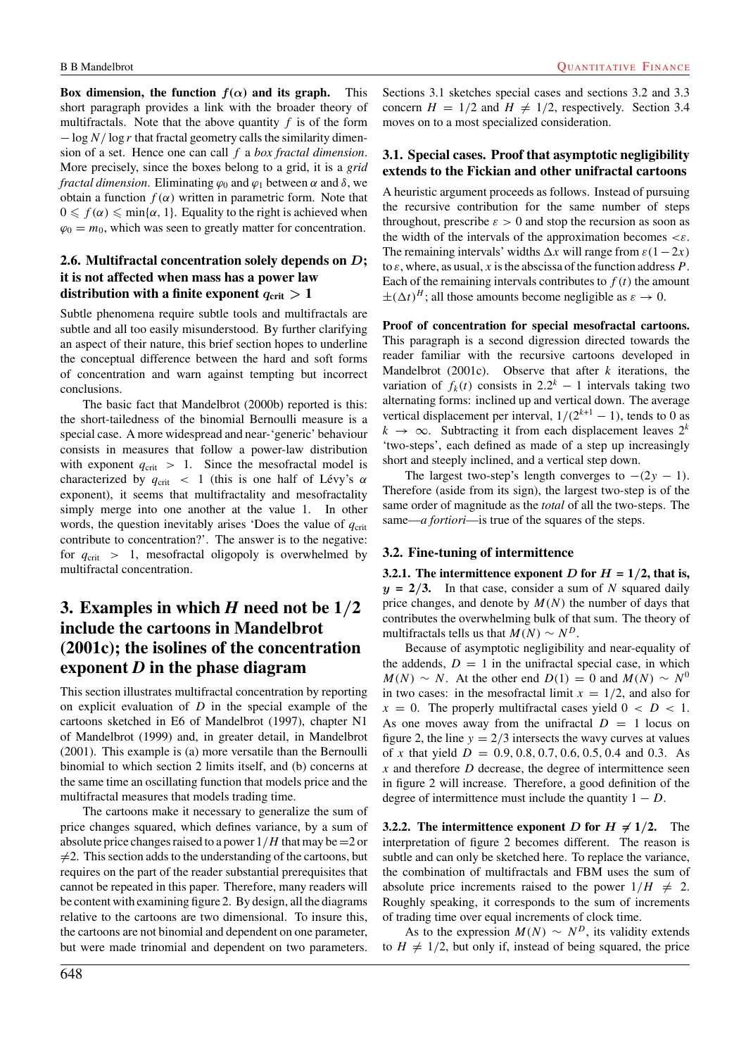**Box dimension, the function**  $f(\alpha)$  and its graph. This short paragraph provides a link with the broader theory of multifractals. Note that the above quantity  $f$  is of the form  $-\log N/\log r$  that fractal geometry calls the similarity dimension of a set. Hence one can call f a *box fractal dimension*. More precisely, since the boxes belong to a grid, it is a *grid fractal dimension*. Eliminating  $\varphi_0$  and  $\varphi_1$  between  $\alpha$  and  $\delta$ , we obtain a function  $f(\alpha)$  written in parametric form. Note that  $0 \leq f(\alpha) \leq \min{\alpha, 1}$ . Equality to the right is achieved when  $\varphi_0 = m_0$ , which was seen to greatly matter for concentration.

## **2.6. Multifractal concentration solely depends on** *D***; it is not affected when mass has a power law distribution with a finite exponent**  $q_{\text{crit}} > 1$

Subtle phenomena require subtle tools and multifractals are subtle and all too easily misunderstood. By further clarifying an aspect of their nature, this brief section hopes to underline the conceptual difference between the hard and soft forms of concentration and warn against tempting but incorrect conclusions.

The basic fact that Mandelbrot (2000b) reported is this: the short-tailedness of the binomial Bernoulli measure is a special case. A more widespread and near-'generic' behaviour consists in measures that follow a power-law distribution with exponent  $q_{\text{crit}} > 1$ . Since the mesofractal model is characterized by  $q_{\text{crit}}$  < 1 (this is one half of Lévy's  $\alpha$ exponent), it seems that multifractality and mesofractality simply merge into one another at the value 1. In other words, the question inevitably arises 'Does the value of  $q_{\text{crit}}$ contribute to concentration?'. The answer is to the negative: for  $q_{\text{crit}} > 1$ , mesofractal oligopoly is overwhelmed by multifractal concentration.

# **3. Examples in which** *H* **need not be 1***/***2 include the cartoons in Mandelbrot (2001c); the isolines of the concentration exponent** *D* **in the phase diagram**

This section illustrates multifractal concentration by reporting on explicit evaluation of  $D$  in the special example of the cartoons sketched in E6 of Mandelbrot (1997), chapter N1 of Mandelbrot (1999) and, in greater detail, in Mandelbrot (2001). This example is (a) more versatile than the Bernoulli binomial to which section 2 limits itself, and (b) concerns at the same time an oscillating function that models price and the multifractal measures that models trading time.

The cartoons make it necessary to generalize the sum of price changes squared, which defines variance, by a sum of absolute price changes raised to a power  $1/H$  that may be = 2 or  $\neq$ 2. This section adds to the understanding of the cartoons, but requires on the part of the reader substantial prerequisites that cannot be repeated in this paper. Therefore, many readers will be content with examining figure 2. By design, all the diagrams relative to the cartoons are two dimensional. To insure this, the cartoons are not binomial and dependent on one parameter, but were made trinomial and dependent on two parameters.

Sections 3.1 sketches special cases and sections 3.2 and 3.3 concern  $H = 1/2$  and  $H \neq 1/2$ , respectively. Section 3.4 moves on to a most specialized consideration.

#### **3.1. Special cases. Proof that asymptotic negligibility extends to the Fickian and other unifractal cartoons**

A heuristic argument proceeds as follows. Instead of pursuing the recursive contribution for the same number of steps throughout, prescribe  $\varepsilon > 0$  and stop the recursion as soon as the width of the intervals of the approximation becomes  $\langle \varepsilon \rangle$ . The remaining intervals' widths  $\Delta x$  will range from  $\varepsilon(1-2x)$ to  $\varepsilon$ , where, as usual, x is the abscissa of the function address P. Each of the remaining intervals contributes to  $f(t)$  the amount  $\pm(\Delta t)^{H}$ ; all those amounts become negligible as  $\varepsilon \to 0$ .

**Proof of concentration for special mesofractal cartoons.** This paragraph is a second digression directed towards the reader familiar with the recursive cartoons developed in Mandelbrot (2001c). Observe that after  $k$  iterations, the variation of  $f_k(t)$  consists in 2.2<sup>k</sup> – 1 intervals taking two alternating forms: inclined up and vertical down. The average vertical displacement per interval,  $1/(2^{k+1} - 1)$ , tends to 0 as  $k \to \infty$ . Subtracting it from each displacement leaves  $2^k$ 'two-steps', each defined as made of a step up increasingly short and steeply inclined, and a vertical step down.

The largest two-step's length converges to  $-(2y - 1)$ . Therefore (aside from its sign), the largest two-step is of the same order of magnitude as the *total* of all the two-steps. The same—*a fortiori*—is true of the squares of the steps.

#### **3.2. Fine-tuning of intermittence**

**3.2.1.** The intermittence exponent *D* for  $H = 1/2$ , that is,  $y = 2/3$ . In that case, consider a sum of N squared daily price changes, and denote by  $M(N)$  the number of days that contributes the overwhelming bulk of that sum. The theory of multifractals tells us that  $M(N) \sim N^D$ .

Because of asymptotic negligibility and near-equality of the addends,  $D = 1$  in the unifractal special case, in which  $M(N) \sim N$ . At the other end  $D(1) = 0$  and  $M(N) \sim N^0$ in two cases: in the mesofractal limit  $x = 1/2$ , and also for  $x = 0$ . The properly multifractal cases yield  $0 < D < 1$ . As one moves away from the unifractal  $D = 1$  locus on figure 2, the line  $y = 2/3$  intersects the wavy curves at values of x that yield  $D = 0.9, 0.8, 0.7, 0.6, 0.5, 0.4$  and 0.3. As  $x$  and therefore  $D$  decrease, the degree of intermittence seen in figure 2 will increase. Therefore, a good definition of the degree of intermittence must include the quantity  $1 - D$ .

**3.2.2.** The intermittence exponent *D* for  $H \neq 1/2$ . The interpretation of figure 2 becomes different. The reason is subtle and can only be sketched here. To replace the variance, the combination of multifractals and FBM uses the sum of absolute price increments raised to the power  $1/H \neq 2$ . Roughly speaking, it corresponds to the sum of increments of trading time over equal increments of clock time.

As to the expression  $M(N) \sim N^D$ , its validity extends to  $H \neq 1/2$ , but only if, instead of being squared, the price